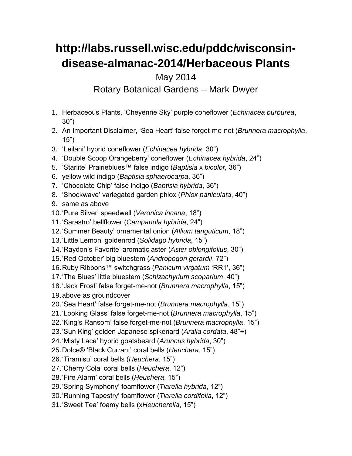## **http://labs.russell.wisc.edu/pddc/wisconsindisease-almanac-2014/Herbaceous Plants**

May 2014

Rotary Botanical Gardens – Mark Dwyer

- 1. Herbaceous Plants, 'Cheyenne Sky' purple coneflower (*Echinacea purpurea*, 30")
- 2. An Important Disclaimer, 'Sea Heart' false forget-me-not (*Brunnera macrophylla*, 15")
- 3. 'Leilani' hybrid coneflower (*Echinacea hybrida*, 30")
- 4. 'Double Scoop Orangeberry' coneflower (*Echinacea hybrida*, 24")
- 5. 'Starlite' Prairieblues™ false indigo (*Baptisia* x *bicolor,* 36")
- 6. yellow wild indigo (*Baptisia sphaerocarpa*, 36")
- 7. 'Chocolate Chip' false indigo (*Baptisia hybrida*, 36")
- 8. 'Shockwave' variegated garden phlox (*Phlox paniculata*, 40")
- 9. same as above
- 10.'Pure Silver' speedwell (*Veronica incana*, 18")
- 11.'Sarastro' bellflower (*Campanula hybrida*, 24")
- 12.'Summer Beauty' ornamental onion (*Allium tanguticum*, 18")
- 13.'Little Lemon' goldenrod (*Solidago hybrida*, 15")
- 14.'Raydon's Favorite' aromatic aster (*Aster oblongifolius*, 30")
- 15.'Red October' big bluestem (*Andropogon gerardii*, 72")
- 16.Ruby Ribbons™ switchgrass (*Panicum virgatum* 'RR1', 36")
- 17.'The Blues' little bluestem (*Schizachyrium scoparium*, 40")
- 18.'Jack Frost' false forget-me-not (*Brunnera macrophylla*, 15")
- 19.above as groundcover
- 20.'Sea Heart' false forget-me-not (*Brunnera macrophylla*, 15")
- 21.'Looking Glass' false forget-me-not (*Brunnera macrophylla*, 15")
- 22.'King's Ransom' false forget-me-not (*Brunnera macrophylla*, 15")
- 23.'Sun King' golden Japanese spikenard (*Aralia cordata*, 48"+)
- 24.'Misty Lace' hybrid goatsbeard (*Aruncus hybrida*, 30")
- 25.Dolce® 'Black Currant' coral bells (*Heuchera*, 15")
- 26.'Tiramisu' coral bells (*Heuchera*, 15")
- 27.'Cherry Cola' coral bells (*Heuchera*, 12")
- 28.'Fire Alarm' coral bells (*Heuchera*, 15")
- 29.'Spring Symphony' foamflower (*Tiarella hybrida*, 12")
- 30.'Running Tapestry' foamflower (*Tiarella cordifolia*, 12")
- 31.'Sweet Tea' foamy bells (x*Heucherella*, 15")